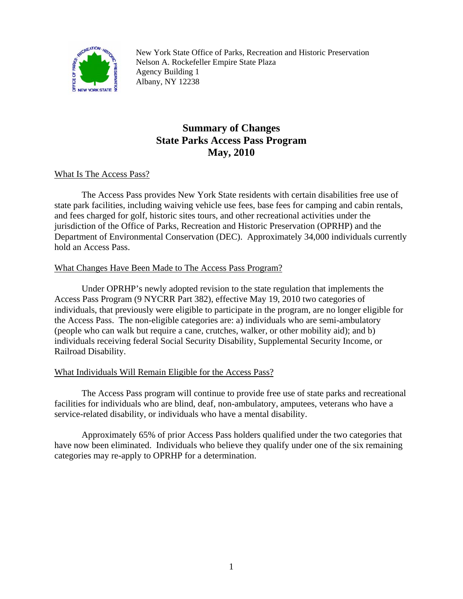

New York State Office of Parks, Recreation and Historic Preservation Nelson A. Rockefeller Empire State Plaza Agency Building 1 Albany, NY 12238

# **Summary of Changes State Parks Access Pass Program May, 2010**

## What Is The Access Pass?

The Access Pass provides New York State residents with certain disabilities free use of state park facilities, including waiving vehicle use fees, base fees for camping and cabin rentals, and fees charged for golf, historic sites tours, and other recreational activities under the jurisdiction of the Office of Parks, Recreation and Historic Preservation (OPRHP) and the Department of Environmental Conservation (DEC). Approximately 34,000 individuals currently hold an Access Pass.

## What Changes Have Been Made to The Access Pass Program?

 Under OPRHP's newly adopted revision to the state regulation that implements the Access Pass Program (9 NYCRR Part 382), effective May 19, 2010 two categories of individuals, that previously were eligible to participate in the program, are no longer eligible for the Access Pass. The non-eligible categories are: a) individuals who are semi-ambulatory (people who can walk but require a cane, crutches, walker, or other mobility aid); and b) individuals receiving federal Social Security Disability, Supplemental Security Income, or Railroad Disability.

## What Individuals Will Remain Eligible for the Access Pass?

The Access Pass program will continue to provide free use of state parks and recreational facilities for individuals who are blind, deaf, non-ambulatory, amputees, veterans who have a service-related disability, or individuals who have a mental disability.

Approximately 65% of prior Access Pass holders qualified under the two categories that have now been eliminated. Individuals who believe they qualify under one of the six remaining categories may re-apply to OPRHP for a determination.